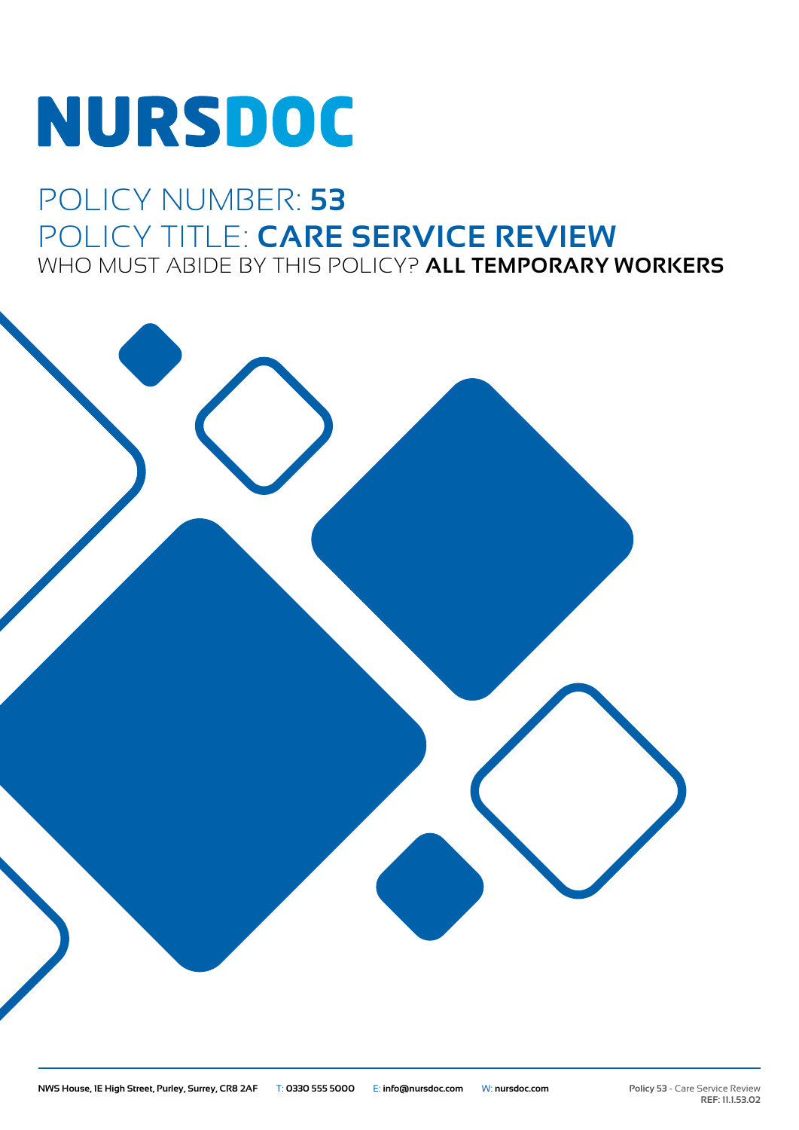# **NURSDOC**

### POLICY NUMBER: **53** POLICY TITLE: **CARE SERVICE REVIEW** WHO MUST ABIDE BY THIS POLICY? **ALL TEMPORARY WORKERS**